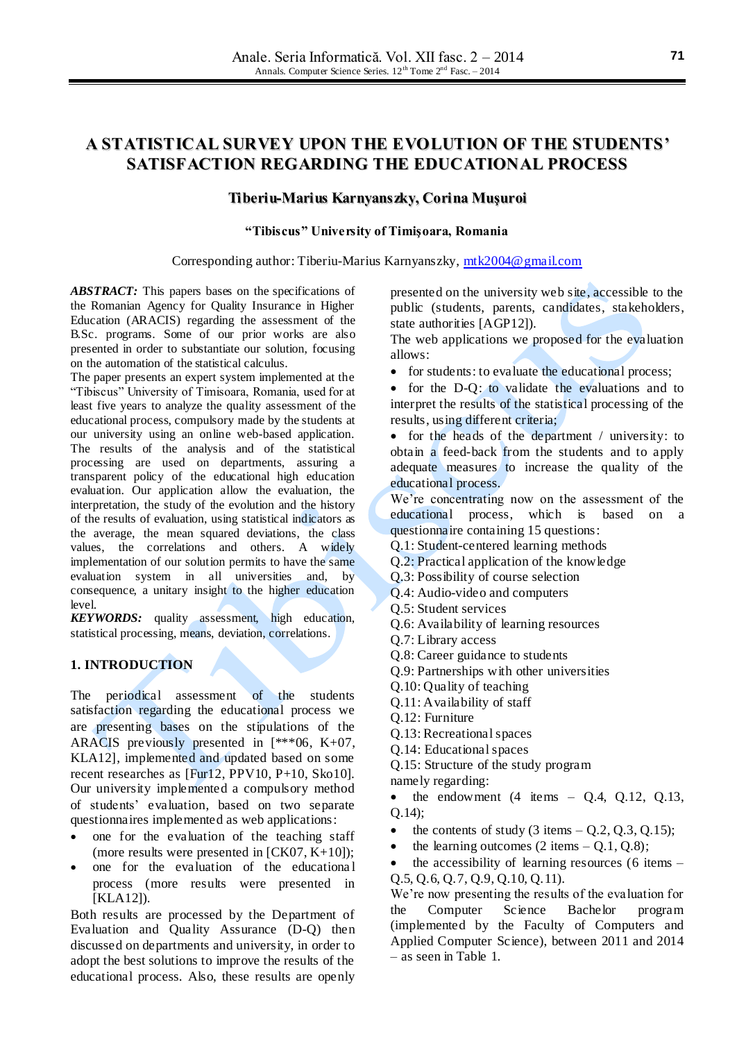# **A STATISTICAL SURVEY UPON THE EVOLUTION OF THE STUDENTS' SATISFACTION REGARDING THE EDUCATIONAL PROCESS**

### **Tiberiu-Marius Karnyanszky, Corina Muşuroi**

#### **"Tibiscus" University of Timişoara, Romania**

Corresponding author: Tiberiu-Marius Karnyanszky, [mtk2004@gmail.com](mailto:mtk2004@gmail.com)

*ABSTRACT:* This papers bases on the specifications of the Romanian Agency for Quality Insurance in Higher Education (ARACIS) regarding the assessment of the B.Sc. programs. Some of our prior works are also presented in order to substantiate our solution, focusing on the automation of the statistical calculus.

The paper presents an expert system implemented at the "Tibiscus" University of Timisoara, Romania, used for at least five years to analyze the quality assessment of the educational process, compulsory made by the students at our university using an online web-based application. The results of the analysis and of the statistical processing are used on departments, assuring a transparent policy of the educational high education evaluation. Our application allow the evaluation, the interpretation, the study of the evolution and the history of the results of evaluation, using statistical indicators as the average, the mean squared deviations, the class values, the correlations and others. A widely implementation of our solution permits to have the same evaluation system in all universities and, by consequence, a unitary insight to the higher education level.

*KEYWORDS:* quality assessment, high education, statistical processing, means, deviation, correlations.

## **1. INTRODUCTION**

The periodical assessment of the students satisfaction regarding the educational process we are presenting bases on the stipulations of the ARACIS previously presented in [\*\*\*06, K+07, KLA12], implemented and updated based on some recent researches as [Fur12, PPV10, P+10, Sko10]. Our university implemented a compulsory method of students' evaluation, based on two separate questionnaires implemented as web applications:

- one for the evaluation of the teaching staff (more results were presented in [CK07, K+10]);
- one for the evaluation of the educational process (more results were presented in [KLA12]).

Both results are processed by the Department of Evaluation and Quality Assurance (D-Q) then discussed on departments and university, in order to adopt the best solutions to improve the results of the educational process. Also, these results are openly

presented on the university web site, accessible to the public (students, parents, candidates, stakeholders, state authorities [AGP12]).

The web applications we proposed for the evaluation allows:

• for students: to evaluate the educational process;

 for the D-Q: to validate the evaluations and to interpret the results of the statistical processing of the results, using different criteria;

• for the heads of the department / university: to obtain a feed-back from the students and to apply adequate measures to increase the quality of the educational process.

We're concentrating now on the assessment of the educational process, which is based on a questionnaire containing 15 questions:

- Q.1: Student-centered learning methods
- Q.2: Practical application of the knowledge
- Q.3: Possibility of course selection
- Q.4: Audio-video and computers
- Q.5: Student services
- Q.6: Availability of learning resources
- Q.7: Library access
- Q.8: Career guidance to students
- Q.9: Partnerships with other universities
- Q.10: Quality of teaching
- Q.11: Availability of staff
- Q.12: Furniture
- Q.13: Recreational spaces
- Q.14: Educational spaces
- Q.15: Structure of the study program
- namely regarding:
- $\bullet$  the endowment (4 items Q.4, Q.12, Q.13, Q.14);
- the contents of study  $(3 \text{ items} Q.2, Q.3, Q.15);$
- the learning outcomes  $(2 \text{ items} 0.1, 0.8);$

 the accessibility of learning resources (6 items – Q.5, Q.6, Q.7, Q.9, Q.10, Q.11).

We're now presenting the results of the evaluation for the Computer Science Bachelor program (implemented by the Faculty of Computers and Applied Computer Science), between 2011 and 2014 – as seen in Table 1.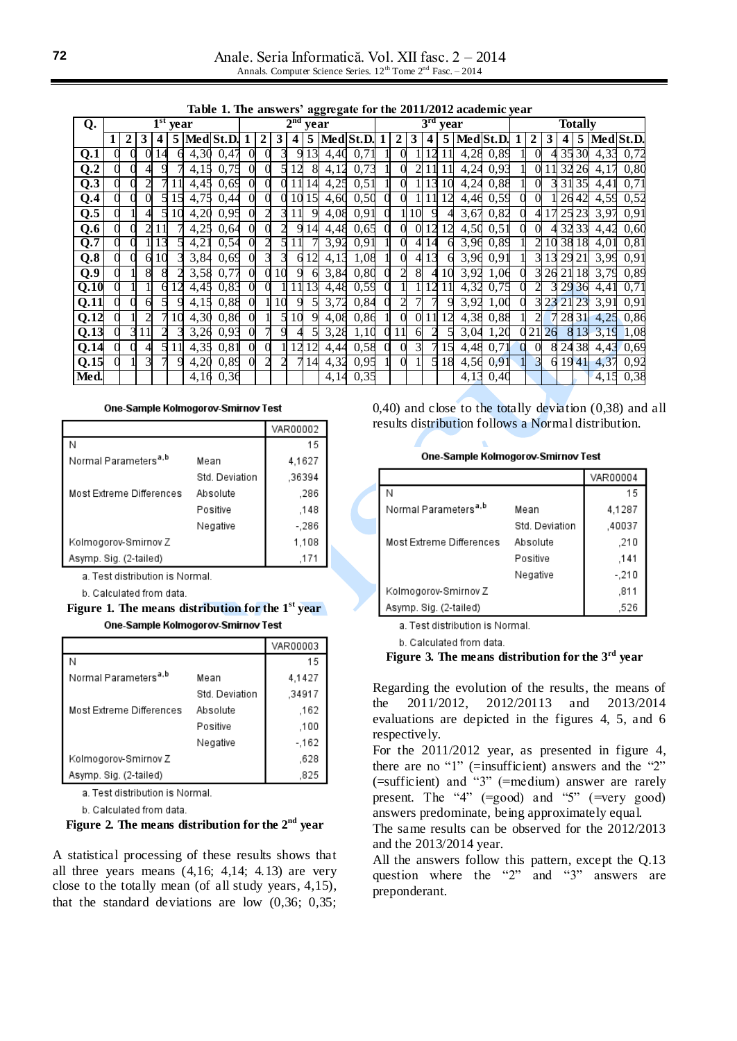Anale. Seria Informatică. Vol. XII fasc. 2 – 2014 Annals. Computer Science Series.  $12^{th}$  Tome  $2^{nd}$  Fasc. - 2014

|  |  |  | Table 1. The answers' aggregate for the 2011/2012 academic year |  |  |  |  |  |
|--|--|--|-----------------------------------------------------------------|--|--|--|--|--|
|--|--|--|-----------------------------------------------------------------|--|--|--|--|--|

|                   | rapic 1: The answers<br>$\frac{1}{2}$ |   |    |   |            |      |               |                         |             |    |    |    |      |             | ucuucinic wai |              |                 |                |    |               |      |   |                |                |                |          |      |             |
|-------------------|---------------------------------------|---|----|---|------------|------|---------------|-------------------------|-------------|----|----|----|------|-------------|---------------|--------------|-----------------|----------------|----|---------------|------|---|----------------|----------------|----------------|----------|------|-------------|
| Q.                |                                       |   |    |   | $1st$ year |      |               | 2 <sup>nd</sup><br>vear |             |    |    |    |      |             |               |              | 3 <sup>rd</sup> | year           |    |               |      |   |                |                | <b>Totally</b> |          |      |             |
|                   |                                       | 2 | 3  | 4 |            |      | $5$ Med St.D. |                         | $\mathbf 2$ | 3  | 4  |    |      | 5 Med St.D. |               | $\mathbf{2}$ | 3               | 4              |    | 5   Med St.D. |      |   |                | 3              | 4              |          |      | 5 Med St.D. |
| Q.1               |                                       |   | 0  |   |            | 4,30 | 0,47          | $\Omega$                |             |    |    | 13 | 4,40 | 0,7         |               |              |                 |                |    | 4,28          | 0,89 |   | 0              |                |                | 35 30    | 4,33 | 0,72        |
| Q.2               |                                       |   |    |   |            | 4,15 | 0,75          | $\Omega$                |             |    | 12 | 8  | 4,12 | 0,73        |               |              |                 |                |    | 4,24          | 0,93 |   | 0              |                | 32             | 26       | 4,17 | 0,80        |
| Q.3               |                                       |   |    |   |            | 4,45 | 0,69          | $\Omega$                |             |    |    | 14 | 4,25 | 0,51        |               |              |                 | 13             | 10 | 4,24          | 0,88 |   | 0              |                |                | 31 35    | 4,41 | 0,71        |
| Q.4               |                                       |   |    |   |            | 4,75 | 0,44          | $\Omega$                |             |    | 10 | 15 | 4,60 | 0,50        |               |              |                 |                | 12 | 4,46          | 0,59 |   | 0              |                |                | 2642     | 4,59 | 0,52        |
| Q.5               |                                       |   |    |   | 10         | 4,20 | 0,95          | $\Omega$                |             |    |    | 9  | 4,08 | 0,91        |               |              | 10              | 9              |    | 3,67          | 0,82 |   | 4              | 17             |                | 2523     | 3,97 | 0,91        |
| Q.6               |                                       |   |    |   |            | 4,25 | 0,64          | $\Omega$                |             |    | 9  | 14 | 4,48 | 0,65        |               |              | 0               | 12             | 12 | 4,50          | 0,51 |   | 0              |                |                | 3233     | 4,42 | 0.60        |
| Q.7               |                                       |   |    |   |            | 4,21 | 0,54          | $\Omega$                |             | 5  |    |    | 3,92 | 0,91        |               | 0            |                 | 14             | 6  | 3,96          | 0,89 |   |                | 10             |                | 3818     | 4,01 | 0, 81       |
| Q.8               |                                       |   | 61 |   |            | 3,84 | 0,69          | $\Omega$                |             |    | 6  | 12 | 4,13 | 1,08        |               |              |                 | 13             | 6  | 3,96          | 0.91 |   | 3              | 13             |                | 29 21    | 3,99 | 0,91        |
| Q.9               |                                       |   | 8  |   |            | 3,58 | 0,77          | $\Omega$                |             | 10 | Q  | 6  | 3,84 | 0,80        |               | 2            | 8               | 4              | 10 | 3,92          | 1,06 |   | 31             |                |                | 26 21 18 | 3,79 | 0,89        |
| Q.10              |                                       |   |    |   |            | 4,45 | 0,83          | $\Omega$                |             |    |    | 13 | 4,48 | 0,59        |               |              |                 | $\overline{2}$ | 1  | 4,32          | 0,75 |   | $\overline{2}$ | 31             |                | 29 36    | 4,41 | 0,71        |
| Q.11              |                                       |   | 6  |   |            | 4,15 | 0,88          | $\Omega$                |             | 10 | 9  |    | 3,72 | 0,84        |               |              |                 |                |    | 3,92          | 1,00 |   | 3              | 2 <sub>3</sub> |                | 21 23    | 3,91 | 0,91        |
| Q.12              |                                       |   |    |   | 10         | 4,30 | 0,86          | $\Omega$                |             |    | 10 | 9  | 4,08 | 0,86        |               |              | OI.             |                |    | 4,38          | 0,88 |   | $\overline{c}$ |                |                | 2831     | 4,25 | 0,86        |
| $\overline{Q.13}$ |                                       |   |    |   |            | 3,26 | 0,93          | $\Omega$                |             |    |    |    | 3,28 | 1,10        |               |              | 6               |                |    | 3,04          | 1,20 |   | 21             | 26             |                | 8 1 3    | 3,19 | 1,08        |
| Q.14              |                                       |   |    |   |            | 4,35 | 0,81          | $\Omega$                |             |    | 12 | 12 | 4,44 | 0,58        |               |              | 3               |                | 15 | 4,48          | 0,71 | 0 | $\Omega$       | 8              |                | 24 38    | 4,43 | 0,69        |
| Q.15              |                                       |   |    |   |            | 4,20 | 0,89          | $\Omega$                |             |    |    | 14 | 4,32 | 0,95        |               |              |                 | 51             | 18 | 4,56          | 0,91 |   | $\overline{3}$ | 6              |                | 1941     | 4,37 | 0,92        |
| Med.              |                                       |   |    |   |            | 4,16 | 0,36          |                         |             |    |    |    | 4,14 | 0,35        |               |              |                 |                |    | 4,13          | 0,40 |   |                |                |                |          | 4,15 | 0,38        |

One-Sample Kolmogorov-Smirnov Test

|                                  |                | VAR00002 |  |
|----------------------------------|----------------|----------|--|
|                                  |                | 15       |  |
| Normal Parameters <sup>a,b</sup> | Mean           | 4.1627   |  |
|                                  | Std. Deviation | .36394   |  |
| Most Extreme Differences         | Absolute       | .286     |  |
|                                  | Positive       | .148     |  |
|                                  | Negative       | $-286$   |  |
| Kolmogorov-Smirnov Z             |                | 1,108    |  |
| Asymp. Sig. (2-tailed)           |                | .171     |  |

a. Test distribution is Normal.

b. Calculated from data.

**Figure 1. The means distribution for the 1st year** One-Sample Kolmogorov-Smirnov Test

|                                  |                | VAR00003 |
|----------------------------------|----------------|----------|
|                                  |                | 15       |
| Normal Parameters <sup>a,b</sup> | Mean           | 4,1427   |
|                                  | Std. Deviation | .34917   |
| Most Extreme Differences         | Absolute       | .162     |
|                                  | Positive       | .100     |
|                                  | Negative       | $-162$   |
| Kolmogorov-Smirnov Z             |                | .628     |
| Asymp. Sig. (2-tailed)           |                | .825     |

a. Test distribution is Normal.

b. Calculated from data.

### **Figure 2. The means distribution for the 2nd year**

A statistical processing of these results shows that all three years means  $(4,16; 4,14; 4.13)$  are very close to the totally mean (of all study years, 4,15), that the standard deviations are low (0,36; 0,35; 0,40) and close to the totally deviation (0,38) and all results distribution follows a Normal distribution.

One-Sample Kolmogorov-Smirnov Test

|                                  |                | VAR00004 |
|----------------------------------|----------------|----------|
| Ν                                |                | 15       |
| Normal Parameters <sup>a,b</sup> | Mean           | 4,1287   |
|                                  | Std. Deviation | .40037   |
| Most Extreme Differences         | Absolute       | .210     |
|                                  | Positive       | .141     |
|                                  | Negative       | $-.210$  |
| Kolmogorov-Smirnov Z             |                | .811     |
| Asymp. Sig. (2-tailed)           |                | 526      |

a. Test distribution is Normal.

b. Calculated from data.

#### **Figure 3. The means distribution for the 3rd year**

Regarding the evolution of the results, the means of the 2011/2012, 2012/20113 and 2013/2014 evaluations are depicted in the figures 4, 5, and 6 respectively.

For the 2011/2012 year, as presented in figure 4, there are no "1" (=insufficient) answers and the "2" (=sufficient) and "3" (=medium) answer are rarely present. The "4" (=good) and "5" (=very good) answers predominate, being approximately equal.

The same results can be observed for the 2012/2013 and the 2013/2014 year.

All the answers follow this pattern, except the Q.13 question where the "2" and "3" answers are preponderant.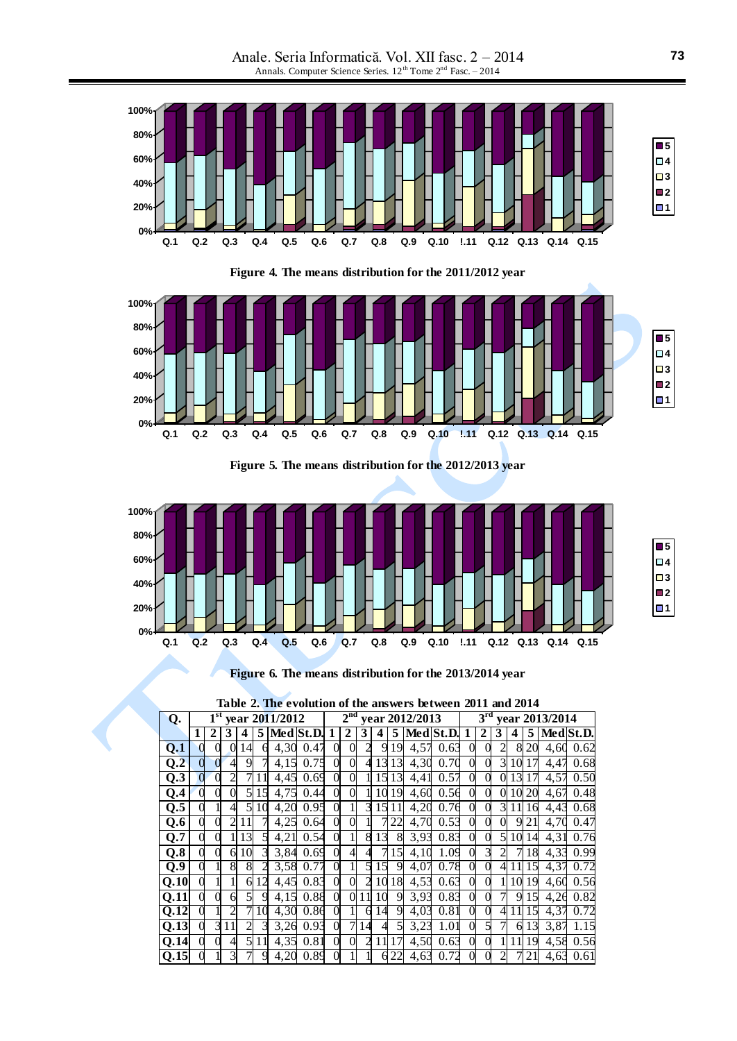Anale. Seria Informatică. Vol. XII fasc. 2 – 2014 Annals. Computer Science Series. 12<sup>th</sup> Tome 2<sup>nd</sup> Fasc. – 2014



**Figure 4. The means distribution for the 2011/2012 year**



**Figure 5. The means distribution for the 2012/2013 year**



**Figure 6. The means distribution for the 2013/2014 year**

| Table 2. The evolution of the answers between 2011 and 2014 |  |
|-------------------------------------------------------------|--|
|-------------------------------------------------------------|--|

| Q.                | 1 <sup>st</sup><br>year 2011/2012 |   |    |                |    |      |           |                | 2 <sup>nd</sup><br>year 2012/2013 |                |    |    |      |             |                |                | $3^{\rm rd}$<br>year 2013/2014 |    |                         |      |           |  |  |
|-------------------|-----------------------------------|---|----|----------------|----|------|-----------|----------------|-----------------------------------|----------------|----|----|------|-------------|----------------|----------------|--------------------------------|----|-------------------------|------|-----------|--|--|
|                   | 1                                 | 2 |    |                | 5  |      | Med St.D. |                | 2                                 |                |    | 5  |      | Med St.D. 1 |                | 2              | 3                              | 4  | 5                       |      | Med St.D. |  |  |
| Q.1               |                                   |   |    | 14             | 6  | 4,30 | 0.47      | 0              | 0                                 |                | 9  | 19 | 4,57 | 0.63        | $\Omega$       |                | 2                              | 8  | 20                      | 4.60 | 0.62      |  |  |
| Q <sub>2</sub>    |                                   |   | 4  | 9              |    | 4,15 | 0.75      | $\theta$       | $\Omega$                          | 4              | 13 | 13 | 4,30 | 0.70        | $\overline{0}$ | $\Omega$       | 3                              | 10 |                         | 4,47 | 0.68      |  |  |
| Q.3               |                                   |   |    |                | 11 | 4,45 | 0.69      | $\theta$       | 0                                 |                | 15 | 13 | 4,41 | 0.57        | $\overline{0}$ | $\Omega$       | $\Omega$                       | 13 |                         | 4,57 | 0.50      |  |  |
| Q.4               |                                   |   |    | 5              | 15 | 4,75 | 0.44      | $\theta$       | $\theta$                          |                | 10 | 19 | 4,60 | 0.56        | $\Omega$       | 0              | $\Omega$                       | 10 | 20                      | 4,67 | 0.48      |  |  |
| Q.5               |                                   |   | 4  | 5              | 10 | 4,20 | 0.95      | $\theta$       |                                   | 3              | 15 |    | 4,20 | 0.76        | $\theta$       | $\Omega$       | 3                              |    | 16                      | 4,43 | 0.68      |  |  |
| Q.6               |                                   |   |    |                |    | 4,25 | 0.64      | $\theta$       | 0                                 |                |    | 22 | 4,70 | 0.53        | $\theta$       | 0              | 0                              | 9  | 21                      | 4,70 | 0.47      |  |  |
| Q.7               |                                   |   |    | 13             |    | 4,21 | 0.54      | $\theta$       |                                   | 8              | 13 | 8  | 3,93 | 0.83        | $\Omega$       | 0              | 5                              | 10 | 14                      | 4,31 | 0.76      |  |  |
| Q.8               |                                   |   | 6  | 10             | 3  | 3,84 | 0.69      | $\mathbf{0}$   | 4                                 | 4              |    | 15 | 4,10 | 1.09        | $\overline{0}$ | 3              | $\mathfrak{D}$                 | 7  | 18                      | 4,33 | 0.99      |  |  |
| Q.9               |                                   |   | 8  | 8              |    | 3,58 | 0.77      | $\theta$       |                                   | 5              | 15 | 9  | 4,07 | 0.78        | $\overline{0}$ | $\overline{0}$ | 4                              |    | $\overline{\mathbf{z}}$ | 4,37 | 0.72      |  |  |
| Q.10              |                                   |   |    | 6              | 12 | 4,45 | 0.83      | $\overline{0}$ | $\overline{0}$                    | $\overline{c}$ | 10 | 18 | 4,53 | 0.63        | $\theta$       | $\overline{0}$ |                                | 10 | 19                      | 4,60 | 0.56      |  |  |
| Q.11              |                                   |   | 6  | 5              | 9  | 4,15 | 0.88      | 0              | $\Omega$                          | 11             | 10 | 9  | 3,93 | 0.83        | $\theta$       | $\Omega$       |                                | 9  | 15                      | 4,26 | 0.82      |  |  |
| $Q.\overline{12}$ |                                   |   |    |                | 10 | 4,30 | 0.86      | 0              |                                   | 6              | 14 | 9  | 4,03 | 0.81        | $\overline{0}$ | 0              | 4                              |    |                         | 4,37 | 0.72      |  |  |
| Q.13              |                                   | 3 | 11 | $\overline{2}$ | 3  | 3,26 | 0.93      | $\overline{0}$ | $\overline{7}$                    | 14             | 4  | 5  | 3,23 | 1.01        | $\mathbf{0}$   | 5              | 7                              | 6  | 13                      | 3,87 | 1.15      |  |  |
| Q.14              |                                   |   |    | 5              | 11 | 4,35 | 0.81      | $\theta$       | $\theta$                          | $\overline{2}$ | 11 | 17 | 4,50 | 0.63        | $\Omega$       | 0              |                                | 11 | 19                      | 4,58 | 0.56      |  |  |
| $Q.\overline{15}$ |                                   |   |    |                | 9  | 4,20 | 0.89      | 0              |                                   |                |    | 22 | 4,63 | 0.72        | 0              |                |                                |    | 21                      | 4,63 | 0.61      |  |  |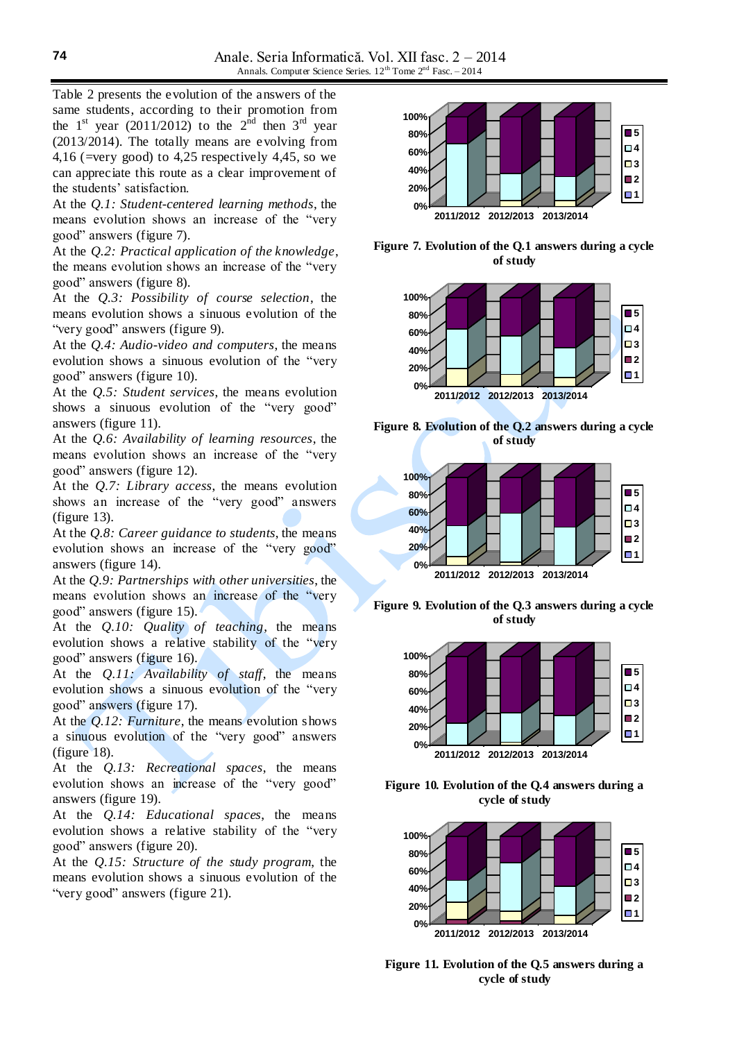Table 2 presents the evolution of the answers of the same students, according to their promotion from the  $1<sup>st</sup>$  year (2011/2012) to the  $2<sup>nd</sup>$  then  $3<sup>rd</sup>$  year (2013/2014). The totally means are evolving from 4,16 (=very good) to 4,25 respectively 4,45, so we can appreciate this route as a clear improvement of the students' satisfaction.

At the *Q.1: Student-centered learning methods*, the means evolution shows an increase of the "very good" answers (figure 7).

At the *Q.2: Practical application of the knowledge*, the means evolution shows an increase of the "very good" answers (figure 8).

At the *Q.3: Possibility of course selection*, the means evolution shows a sinuous evolution of the "very good" answers (figure 9).

At the *Q.4: Audio-video and computers*, the means evolution shows a sinuous evolution of the "very good" answers (figure 10).

At the *Q.5: Student services*, the means evolution shows a sinuous evolution of the "very good" answers (figure 11).

At the *Q.6: Availability of learning resources*, the means evolution shows an increase of the "very good" answers (figure 12).

At the *Q.7: Library access*, the means evolution shows an increase of the "very good" answers (figure 13).

At the *Q.8: Career guidance to students*, the means evolution shows an increase of the "very good" answers (figure 14).

At the *Q.9: Partnerships with other universities*, the means evolution shows an increase of the "very good" answers (figure 15).

At the *Q.10: Quality of teaching*, the means evolution shows a relative stability of the "very good" answers (figure 16).

At the *Q.11: Availability of staff*, the means evolution shows a sinuous evolution of the "very good" answers (figure 17).

At the *Q.12: Furniture*, the means evolution shows a sinuous evolution of the "very good" answers (figure 18).

At the *Q.13: Recreational spaces*, the means evolution shows an increase of the "very good" answers (figure 19).

At the *Q.14: Educational spaces*, the means evolution shows a relative stability of the "very good" answers (figure 20).

At the *Q.15: Structure of the study program*, the means evolution shows a sinuous evolution of the "very good" answers (figure 21).



**Figure 7. Evolution of the Q.1 answers during a cycle of study**







**Figure 9. Evolution of the Q.3 answers during a cycle of study**



**Figure 10. Evolution of the Q.4 answers during a cycle of study**



**Figure 11. Evolution of the Q.5 answers during a cycle of study**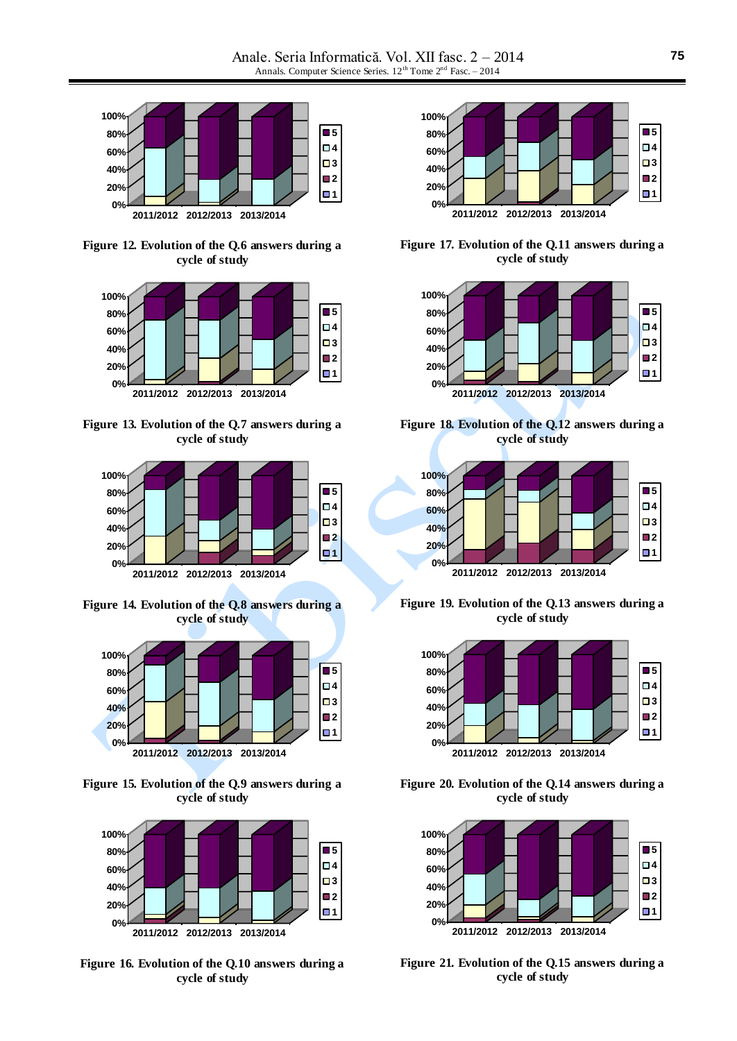

**Figure 12. Evolution of the Q.6 answers during a cycle of study**



**Figure 13. Evolution of the Q.7 answers during a cycle of study**



**Figure 14. Evolution of the Q.8 answers during a cycle of study**



**Figure 15. Evolution of the Q.9 answers during a cycle of study**



**Figure 16. Evolution of the Q.10 answers during a cycle of study**



**Figure 17. Evolution of the Q.11 answers during a cycle of study**



**Figure 18. Evolution of the Q.12 answers during a cycle of study**



**Figure 19. Evolution of the Q.13 answers during a cycle of study**



**Figure 20. Evolution of the Q.14 answers during a cycle of study**



**Figure 21. Evolution of the Q.15 answers during a cycle of study**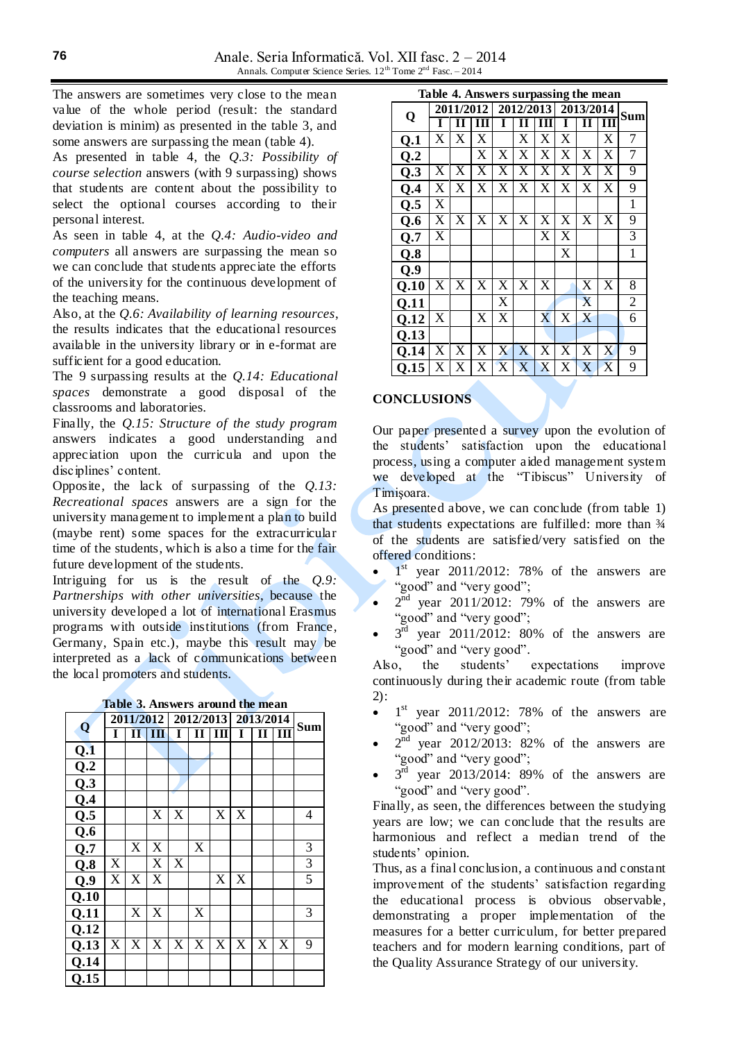The answers are sometimes very close to the mean value of the whole period (result: the standard deviation is minim) as presented in the table 3, and some answers are surpassing the mean (table 4).

As presented in table 4, the *Q.3: Possibility of course selection* answers (with 9 surpassing) shows that students are content about the possibility to select the optional courses according to their personal interest.

As seen in table 4, at the *Q.4: Audio-video and computers* all answers are surpassing the mean so we can conclude that students appreciate the efforts of the university for the continuous development of the teaching means.

Also, at the *Q.6: Availability of learning resources*, the results indicates that the educational resources available in the university library or in e-format are sufficient for a good education.

The 9 surpassing results at the *Q.14: Educational spaces* demonstrate a good disposal of the classrooms and laboratories.

Finally, the *Q.15: Structure of the study program* answers indicates a good understanding and appreciation upon the curricula and upon the disciplines' content.

Opposite, the lack of surpassing of the *Q.13: Recreational spaces* answers are a sign for the university management to implement a plan to build (maybe rent) some spaces for the extracurricular time of the students, which is also a time for the fair future development of the students.

Intriguing for us is the result of the *Q.9: Partnerships with other universities*, because the university developed a lot of international Erasmus programs with outside institutions (from France, Germany, Spain etc.), maybe this result may be interpreted as a lack of communications between the local promoters and students.

**Table 3. Answers around the mean**

| Q    |                           |                       | 2011/2012             |                | 2012/2013             |                       | 2013/2014             | <b>Sum</b>     |                |                |
|------|---------------------------|-----------------------|-----------------------|----------------|-----------------------|-----------------------|-----------------------|----------------|----------------|----------------|
|      | I                         | $\bf\Pi$              | III                   | I              | $\mathbf{I}$          | Ш                     | I                     | $\mathbf{I}$   | III            |                |
| Q.1  |                           |                       |                       |                |                       |                       |                       |                |                |                |
| Q.2  |                           |                       |                       |                |                       |                       |                       |                |                |                |
| Q.3  |                           |                       |                       |                |                       |                       |                       |                |                |                |
| Q.4  |                           |                       |                       |                |                       |                       |                       |                |                |                |
| Q.5  |                           |                       | X                     | X              |                       | X                     | X                     |                |                | $\overline{4}$ |
| Q.6  |                           |                       |                       |                |                       |                       |                       |                |                |                |
| Q.7  |                           | X                     | X                     |                | X                     |                       |                       |                |                | $\mathfrak{Z}$ |
| Q.8  | X                         |                       | X                     | X              |                       |                       |                       |                |                | $\mathfrak{Z}$ |
| Q.9  | $\boldsymbol{\mathrm{X}}$ | X                     | X                     |                |                       | X                     | X                     |                |                | $\overline{5}$ |
| Q.10 |                           |                       |                       |                |                       |                       |                       |                |                |                |
| Q.11 |                           | X                     | X                     |                | X                     |                       |                       |                |                | 3              |
| Q.12 |                           |                       |                       |                |                       |                       |                       |                |                |                |
| Q.13 | $\overline{\text{X}}$     | $\overline{\text{X}}$ | $\overline{\text{X}}$ | $\overline{X}$ | $\overline{\text{X}}$ | $\overline{\text{X}}$ | $\overline{\text{X}}$ | $\overline{X}$ | $\overline{X}$ | $\overline{9}$ |
| Q.14 |                           |                       |                       |                |                       |                       |                       |                |                |                |
| Q.15 |                           |                       |                       |                |                       |                       |                       |                |                |                |

| Q           |   |   | 2011/2012             |                       | 2012/2013             |                       | 2013/2014             | Sum |   |                |
|-------------|---|---|-----------------------|-----------------------|-----------------------|-----------------------|-----------------------|-----|---|----------------|
|             | I | Н | ш                     | I                     | Н                     | ш                     | 1                     | Н   | Ш |                |
| Q.1         | X | X | X                     |                       | X                     | X                     | X                     |     | X | 7              |
| Q.2         |   |   | X                     | X                     | X                     | X                     | X                     | X   | X | 7              |
| Q.3         | X | X | X                     | X                     | X                     | X                     | X                     | X   | X | $\overline{9}$ |
| Q.4         | X | X | X                     | X                     | X                     | X                     | X                     | X   | X | 9              |
| Q.5         | X |   |                       |                       |                       |                       |                       |     |   | $\mathbf{1}$   |
| Q.6         | X | X | X                     | X                     | $\overline{\text{X}}$ | X                     | X                     | X   | X | 9              |
| Q.7         | X |   |                       |                       |                       | X                     | X                     |     |   | $\overline{3}$ |
| Q.8         |   |   |                       |                       |                       |                       | X                     |     |   | $\mathbf{1}$   |
| Q.9         |   |   |                       |                       |                       |                       |                       |     |   |                |
| 0.10        | X | X | X                     | X                     | X                     | X                     |                       | X   | X | 8              |
| Q.11        |   |   |                       | X                     |                       |                       |                       | X   |   | $\overline{2}$ |
| Q.12        | X |   | X                     | X                     |                       | $\overline{\text{X}}$ | X                     | X   |   | 6              |
| <b>Q.13</b> |   |   |                       |                       |                       |                       |                       |     |   |                |
| 0.14        | X | X | $\overline{\text{X}}$ | $\overline{\text{X}}$ | X                     | $\overline{\text{X}}$ | $\overline{\text{X}}$ | X   | X | 9              |
| 0.15        | X | X | X                     | X                     | X                     | X                     | X                     | X   | X | 9              |

### **CONCLUSIONS**

Our paper presented a survey upon the evolution of the students' satisfaction upon the educational process, using a computer aided management system we developed at the "Tibiscus" University of Timişoara.

As presented above, we can conclude (from table 1) that students expectations are fulfilled: more than  $\frac{3}{4}$ of the students are satisfied/very satisfied on the offered conditions:

- $\bullet$  1<sup>st</sup> year 2011/2012: 78% of the answers are "good" and "very good";
- $\bullet$   $2<sup>nd</sup>$  year 2011/2012: 79% of the answers are "good" and "very good";
- $\bullet$   $3^{\text{rd}}$  year 2011/2012: 80% of the answers are "good" and "very good".

Also, the students' expectations improve continuously during their academic route (from table 2):

- $\bullet$  1<sup>st</sup> year 2011/2012: 78% of the answers are "good" and "very good";
- $\bullet$   $2^{nd}$  year 2012/2013: 82% of the answers are "good" and "very good";
- $\bullet$   $3^{rd}$  year 2013/2014: 89% of the answers are "good" and "very good".

Finally, as seen, the differences between the studying years are low; we can conclude that the results are harmonious and reflect a median trend of the students' opinion.

Thus, as a final conclusion, a continuous and constant improvement of the students' satisfaction regarding the educational process is obvious observable, demonstrating a proper implementation of the measures for a better curriculum, for better prepared teachers and for modern learning conditions, part of the Quality Assurance Strategy of our university.

**Table 4. Answers surpassing the mean**